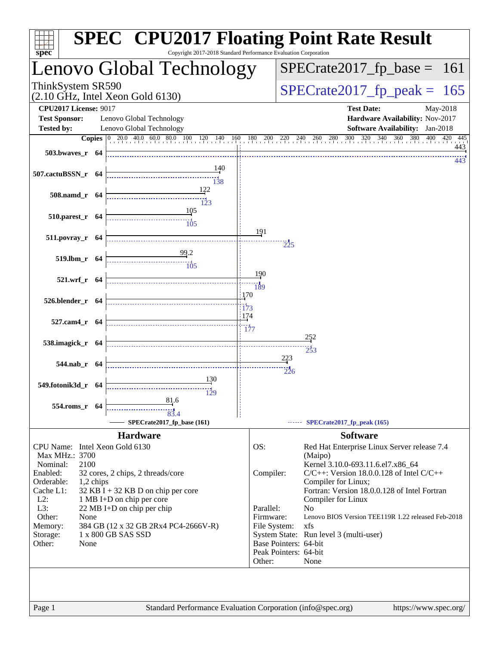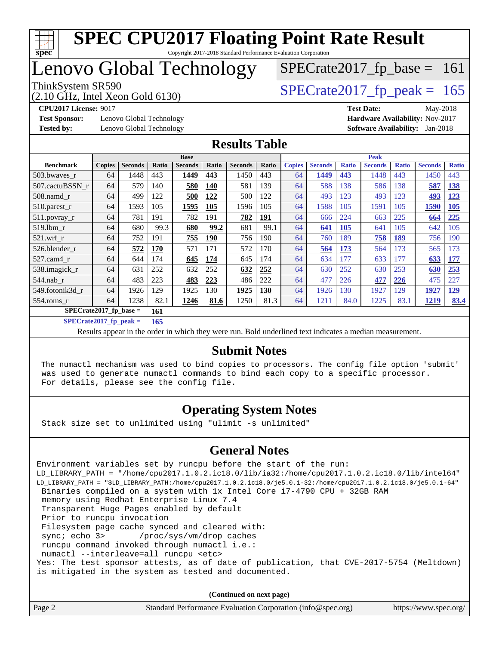

#### **[SPEC CPU2017 Floating Point Rate Result](http://www.spec.org/auto/cpu2017/Docs/result-fields.html#SPECCPU2017FloatingPointRateResult)** Copyright 2017-2018 Standard Performance Evaluation Corporation

## Lenovo Global Technology

(2.10 GHz, Intel Xeon Gold 6130)

ThinkSystem SR590<br>  $(2.10 \text{ GHz})$  Intel Xeon Gold 6130)  $SPECTate2017_fp\_base = 161$ 

**[Test Sponsor:](http://www.spec.org/auto/cpu2017/Docs/result-fields.html#TestSponsor)** Lenovo Global Technology **[Hardware Availability:](http://www.spec.org/auto/cpu2017/Docs/result-fields.html#HardwareAvailability)** Nov-2017 **[Tested by:](http://www.spec.org/auto/cpu2017/Docs/result-fields.html#Testedby)** Lenovo Global Technology **[Software Availability:](http://www.spec.org/auto/cpu2017/Docs/result-fields.html#SoftwareAvailability)** Jan-2018

**[CPU2017 License:](http://www.spec.org/auto/cpu2017/Docs/result-fields.html#CPU2017License)** 9017 **[Test Date:](http://www.spec.org/auto/cpu2017/Docs/result-fields.html#TestDate)** May-2018

#### **[Results Table](http://www.spec.org/auto/cpu2017/Docs/result-fields.html#ResultsTable)**

|                                 | <b>Base</b>   |                |       |                | <b>Peak</b> |                |            |               |                |              |                |              |                |              |
|---------------------------------|---------------|----------------|-------|----------------|-------------|----------------|------------|---------------|----------------|--------------|----------------|--------------|----------------|--------------|
| <b>Benchmark</b>                | <b>Copies</b> | <b>Seconds</b> | Ratio | <b>Seconds</b> | Ratio       | <b>Seconds</b> | Ratio      | <b>Copies</b> | <b>Seconds</b> | <b>Ratio</b> | <b>Seconds</b> | <b>Ratio</b> | <b>Seconds</b> | <b>Ratio</b> |
| 503.bwayes r                    | 64            | 1448           | 443   | 1449           | 443         | 1450           | 443        | 64            | 1449           | 443          | 1448           | 443          | 1450           | 443          |
| 507.cactuBSSN r                 | 64            | 579            | 140   | 580            | <b>140</b>  | 581            | 139        | 64            | 588            | 138          | 586            | 138          | 587            | <b>138</b>   |
| $508$ .namd $r$                 | 64            | 499            | 122   | 500            | 122         | 500            | 122        | 64            | 493            | 123          | 493            | 123          | 493            | 123          |
| 510.parest_r                    | 64            | 1593           | 105   | 1595           | 105         | 1596           | 105        | 64            | 1588           | 105          | 1591           | 105          | 1590           | 105          |
| 511.povray_r                    | 64            | 781            | 191   | 782            | 191         | 782            | <u>191</u> | 64            | 666            | 224          | 663            | 225          | 664            | 225          |
| 519.1bm r                       | 64            | 680            | 99.3  | 680            | 99.2        | 681            | 99.1       | 64            | 641            | <b>105</b>   | 641            | 105          | 642            | 105          |
| $521$ .wrf r                    | 64            | 752            | 191   | 755            | <b>190</b>  | 756            | 190        | 64            | 760            | 189          | 758            | <b>189</b>   | 756            | 190          |
| 526.blender r                   | 64            | 572            | 170   | 571            | 171         | 572            | 170        | 64            | 564            | 173          | 564            | 173          | 565            | 173          |
| 527.cam4 r                      | 64            | 644            | 174   | 645            | 174         | 645            | 174        | 64            | 634            | 177          | 633            | 177          | 633            | 177          |
| 538.imagick_r                   | 64            | 631            | 252   | 632            | 252         | 632            | 252        | 64            | 630            | 252          | 630            | 253          | 630            | 253          |
| $544$ .nab r                    | 64            | 483            | 223   | 483            | 223         | 486            | 222        | 64            | 477            | 226          | 477            | 226          | 475            | 227          |
| 549.fotonik3d r                 | 64            | 1926           | 129   | 1925           | 130         | 1925           | 130        | 64            | 1926           | 130          | 1927           | 129          | 1927           | <u>129</u>   |
| $554$ .roms $r$                 | 64            | 1238           | 82.1  | 1246           | 81.6        | 1250           | 81.3       | 64            | 1211           | 84.0         | 1225           | 83.1         | <u>1219</u>    | 83.4         |
| $SPECrate2017$ fp base =<br>161 |               |                |       |                |             |                |            |               |                |              |                |              |                |              |

**[SPECrate2017\\_fp\\_peak =](http://www.spec.org/auto/cpu2017/Docs/result-fields.html#SPECrate2017fppeak) 165**

Results appear in the [order in which they were run.](http://www.spec.org/auto/cpu2017/Docs/result-fields.html#RunOrder) Bold underlined text [indicates a median measurement.](http://www.spec.org/auto/cpu2017/Docs/result-fields.html#Median)

#### **[Submit Notes](http://www.spec.org/auto/cpu2017/Docs/result-fields.html#SubmitNotes)**

 The numactl mechanism was used to bind copies to processors. The config file option 'submit' was used to generate numactl commands to bind each copy to a specific processor. For details, please see the config file.

### **[Operating System Notes](http://www.spec.org/auto/cpu2017/Docs/result-fields.html#OperatingSystemNotes)**

Stack size set to unlimited using "ulimit -s unlimited"

#### **[General Notes](http://www.spec.org/auto/cpu2017/Docs/result-fields.html#GeneralNotes)**

Environment variables set by runcpu before the start of the run: LD\_LIBRARY\_PATH = "/home/cpu2017.1.0.2.ic18.0/lib/ia32:/home/cpu2017.1.0.2.ic18.0/lib/intel64" LD\_LIBRARY\_PATH = "\$LD\_LIBRARY\_PATH:/home/cpu2017.1.0.2.ic18.0/je5.0.1-32:/home/cpu2017.1.0.2.ic18.0/je5.0.1-64" Binaries compiled on a system with 1x Intel Core i7-4790 CPU + 32GB RAM memory using Redhat Enterprise Linux 7.4 Transparent Huge Pages enabled by default Prior to runcpu invocation Filesystem page cache synced and cleared with: sync; echo 3> /proc/sys/vm/drop\_caches runcpu command invoked through numactl i.e.: numactl --interleave=all runcpu <etc> Yes: The test sponsor attests, as of date of publication, that CVE-2017-5754 (Meltdown) is mitigated in the system as tested and documented.

**(Continued on next page)**

| Standard Performance Evaluation Corporation (info@spec.org)<br>Page 2 | https://www.spec.org/ |
|-----------------------------------------------------------------------|-----------------------|
|-----------------------------------------------------------------------|-----------------------|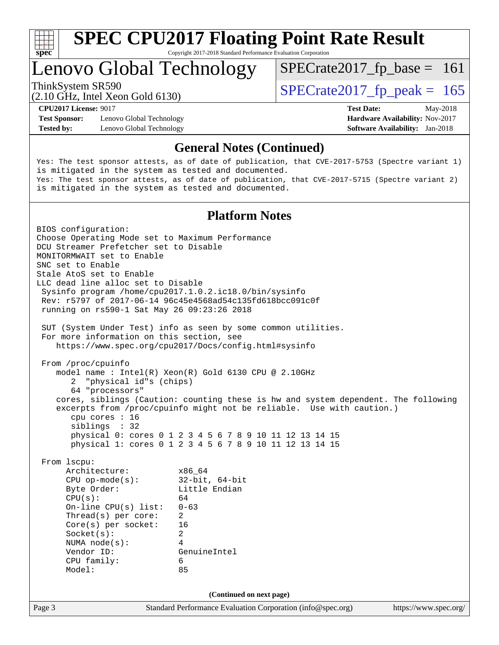

Copyright 2017-2018 Standard Performance Evaluation Corporation

## Lenovo Global Technology

 $SPECTate2017_fp\_peak = 165$ 

 $SPECTate2017_fp\_base = 161$ 

(2.10 GHz, Intel Xeon Gold 6130)

**[Test Sponsor:](http://www.spec.org/auto/cpu2017/Docs/result-fields.html#TestSponsor)** Lenovo Global Technology **[Hardware Availability:](http://www.spec.org/auto/cpu2017/Docs/result-fields.html#HardwareAvailability)** Nov-2017 **[Tested by:](http://www.spec.org/auto/cpu2017/Docs/result-fields.html#Testedby)** Lenovo Global Technology **[Software Availability:](http://www.spec.org/auto/cpu2017/Docs/result-fields.html#SoftwareAvailability)** Jan-2018

**[CPU2017 License:](http://www.spec.org/auto/cpu2017/Docs/result-fields.html#CPU2017License)** 9017 **[Test Date:](http://www.spec.org/auto/cpu2017/Docs/result-fields.html#TestDate)** May-2018

#### **[General Notes \(Continued\)](http://www.spec.org/auto/cpu2017/Docs/result-fields.html#GeneralNotes)**

Yes: The test sponsor attests, as of date of publication, that CVE-2017-5753 (Spectre variant 1) is mitigated in the system as tested and documented. Yes: The test sponsor attests, as of date of publication, that CVE-2017-5715 (Spectre variant 2) is mitigated in the system as tested and documented.

#### **[Platform Notes](http://www.spec.org/auto/cpu2017/Docs/result-fields.html#PlatformNotes)**

Page 3 Standard Performance Evaluation Corporation [\(info@spec.org\)](mailto:info@spec.org) <https://www.spec.org/> BIOS configuration: Choose Operating Mode set to Maximum Performance DCU Streamer Prefetcher set to Disable MONITORMWAIT set to Enable SNC set to Enable Stale AtoS set to Enable LLC dead line alloc set to Disable Sysinfo program /home/cpu2017.1.0.2.ic18.0/bin/sysinfo Rev: r5797 of 2017-06-14 96c45e4568ad54c135fd618bcc091c0f running on rs590-1 Sat May 26 09:23:26 2018 SUT (System Under Test) info as seen by some common utilities. For more information on this section, see <https://www.spec.org/cpu2017/Docs/config.html#sysinfo> From /proc/cpuinfo model name : Intel(R) Xeon(R) Gold 6130 CPU @ 2.10GHz 2 "physical id"s (chips) 64 "processors" cores, siblings (Caution: counting these is hw and system dependent. The following excerpts from /proc/cpuinfo might not be reliable. Use with caution.) cpu cores : 16 siblings : 32 physical 0: cores 0 1 2 3 4 5 6 7 8 9 10 11 12 13 14 15 physical 1: cores 0 1 2 3 4 5 6 7 8 9 10 11 12 13 14 15 From lscpu: Architecture: x86\_64 CPU op-mode(s): 32-bit, 64-bit Byte Order: Little Endian  $CPU(s):$  64 On-line CPU(s) list: 0-63 Thread(s) per core: 2 Core(s) per socket: 16 Socket(s): 2 NUMA node(s): 4 Vendor ID: GenuineIntel CPU family: 6 Model: 85 **(Continued on next page)**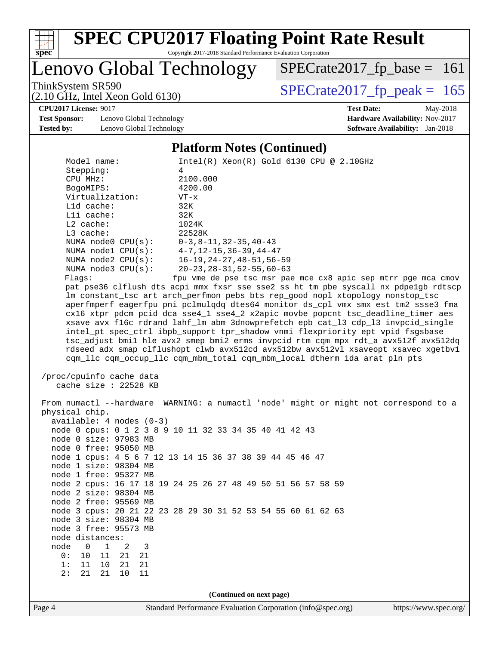

Copyright 2017-2018 Standard Performance Evaluation Corporation

Lenovo Global Technology

ThinkSystem SR590<br>  $(2.10 \text{ GHz})$  Intel Xeon Gold 6130) [SPECrate2017\\_fp\\_base =](http://www.spec.org/auto/cpu2017/Docs/result-fields.html#SPECrate2017fpbase) 161

(2.10 GHz, Intel Xeon Gold 6130)

**[CPU2017 License:](http://www.spec.org/auto/cpu2017/Docs/result-fields.html#CPU2017License)** 9017 **[Test Date:](http://www.spec.org/auto/cpu2017/Docs/result-fields.html#TestDate)** May-2018 **[Test Sponsor:](http://www.spec.org/auto/cpu2017/Docs/result-fields.html#TestSponsor)** Lenovo Global Technology **[Hardware Availability:](http://www.spec.org/auto/cpu2017/Docs/result-fields.html#HardwareAvailability)** Nov-2017 **[Tested by:](http://www.spec.org/auto/cpu2017/Docs/result-fields.html#Testedby)** Lenovo Global Technology **[Software Availability:](http://www.spec.org/auto/cpu2017/Docs/result-fields.html#SoftwareAvailability)** Jan-2018

#### **[Platform Notes \(Continued\)](http://www.spec.org/auto/cpu2017/Docs/result-fields.html#PlatformNotes)**

|                            | 1 lation in 1 voics (Communicu)                                                                                                                                 |
|----------------------------|-----------------------------------------------------------------------------------------------------------------------------------------------------------------|
| Model name:                | $Intel(R) Xeon(R) Gold 6130 CPU @ 2.10GHz$                                                                                                                      |
| Stepping:                  | 4                                                                                                                                                               |
| CPU MHz:                   | 2100.000                                                                                                                                                        |
| BogoMIPS:                  | 4200.00                                                                                                                                                         |
| Virtualization:            | $VT - x$                                                                                                                                                        |
| L1d cache:                 | 32K                                                                                                                                                             |
| Lli cache:                 | 32K                                                                                                                                                             |
| $L2$ cache:                | 1024K                                                                                                                                                           |
| L3 cache:                  | 22528K                                                                                                                                                          |
| NUMA node0 CPU(s):         | $0-3, 8-11, 32-35, 40-43$                                                                                                                                       |
| NUMA $node1$ $CPU(s)$ :    | $4 - 7$ , $12 - 15$ , $36 - 39$ , $44 - 47$                                                                                                                     |
| NUMA $node2$ $CPU(s):$     | $16 - 19, 24 - 27, 48 - 51, 56 - 59$                                                                                                                            |
| NUMA node3 CPU(s):         | $20 - 23, 28 - 31, 52 - 55, 60 - 63$                                                                                                                            |
| Flags:                     | fpu vme de pse tsc msr pae mce cx8 apic sep mtrr pge mca cmov                                                                                                   |
|                            | pat pse36 clflush dts acpi mmx fxsr sse sse2 ss ht tm pbe syscall nx pdpelgb rdtscp                                                                             |
|                            | lm constant_tsc art arch_perfmon pebs bts rep_good nopl xtopology nonstop_tsc                                                                                   |
|                            | aperfmperf eagerfpu pni pclmulqdq dtes64 monitor ds_cpl vmx smx est tm2 ssse3 fma                                                                               |
|                            | cx16 xtpr pdcm pcid dca sse4_1 sse4_2 x2apic movbe popcnt tsc_deadline_timer aes                                                                                |
|                            | xsave avx f16c rdrand lahf_lm abm 3dnowprefetch epb cat_13 cdp_13 invpcid_single                                                                                |
|                            | intel_pt spec_ctrl ibpb_support tpr_shadow vnmi flexpriority ept vpid fsgsbase                                                                                  |
|                            |                                                                                                                                                                 |
|                            | tsc_adjust bmil hle avx2 smep bmi2 erms invpcid rtm cqm mpx rdt_a avx512f avx512dq                                                                              |
|                            | rdseed adx smap clflushopt clwb avx512cd avx512bw avx512vl xsaveopt xsavec xgetbvl<br>cqm_llc cqm_occup_llc cqm_mbm_total cqm_mbm_local dtherm ida arat pln pts |
|                            |                                                                                                                                                                 |
| /proc/cpuinfo cache data   |                                                                                                                                                                 |
| cache size : 22528 KB      |                                                                                                                                                                 |
|                            |                                                                                                                                                                 |
|                            | From numactl --hardware WARNING: a numactl 'node' might or might not correspond to a                                                                            |
| physical chip.             |                                                                                                                                                                 |
|                            |                                                                                                                                                                 |
| $available: 4 nodes (0-3)$ |                                                                                                                                                                 |
|                            | node 0 cpus: 0 1 2 3 8 9 10 11 32 33 34 35 40 41 42 43                                                                                                          |
| node 0 size: 97983 MB      |                                                                                                                                                                 |
| node 0 free: 95050 MB      |                                                                                                                                                                 |
|                            | node 1 cpus: 4 5 6 7 12 13 14 15 36 37 38 39 44 45 46 47                                                                                                        |
| node 1 size: 98304 MB      |                                                                                                                                                                 |
| node 1 free: 95327 MB      |                                                                                                                                                                 |
|                            | node 2 cpus: 16 17 18 19 24 25 26 27 48 49 50 51 56 57 58 59                                                                                                    |
| node 2 size: 98304 MB      |                                                                                                                                                                 |
| node 2 free: 95569 MB      |                                                                                                                                                                 |
|                            | node 3 cpus: 20 21 22 23 28 29 30 31 52 53 54 55 60 61 62 63                                                                                                    |
| node 3 size: 98304 MB      |                                                                                                                                                                 |
| node 3 free: 95573 MB      |                                                                                                                                                                 |
| node distances:            |                                                                                                                                                                 |
| node<br>0<br>1<br>2<br>3   |                                                                                                                                                                 |
| 0:<br>10<br>21<br>11<br>21 |                                                                                                                                                                 |
| 1:<br>11<br>10<br>21<br>21 |                                                                                                                                                                 |
| 2:<br>21<br>21<br>10<br>11 |                                                                                                                                                                 |
|                            |                                                                                                                                                                 |
|                            | (Continued on next page)                                                                                                                                        |
|                            |                                                                                                                                                                 |
| Page 4                     | Standard Performance Evaluation Corporation (info@spec.org)<br>https://www.spec.org/                                                                            |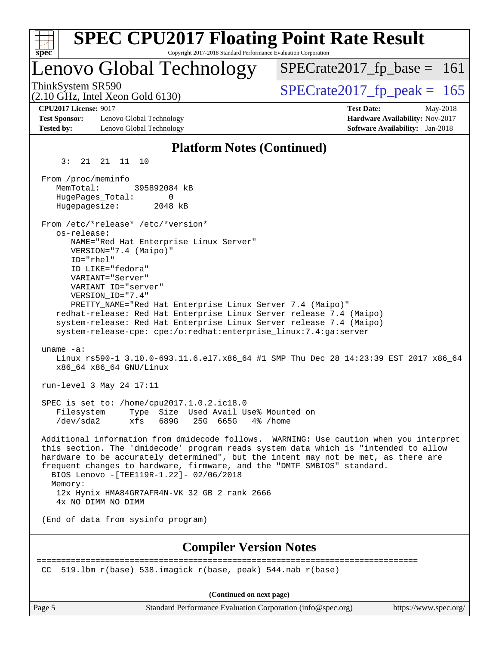| <b>SPEC CPU2017 Floating Point Rate Result</b>                                                                                                                                                                                                                                                                                                                                                                                                                                                                                                                                                                                                                                                                                                |                                                                                                            |
|-----------------------------------------------------------------------------------------------------------------------------------------------------------------------------------------------------------------------------------------------------------------------------------------------------------------------------------------------------------------------------------------------------------------------------------------------------------------------------------------------------------------------------------------------------------------------------------------------------------------------------------------------------------------------------------------------------------------------------------------------|------------------------------------------------------------------------------------------------------------|
| Copyright 2017-2018 Standard Performance Evaluation Corporation<br>$spec^*$                                                                                                                                                                                                                                                                                                                                                                                                                                                                                                                                                                                                                                                                   |                                                                                                            |
| Lenovo Global Technology                                                                                                                                                                                                                                                                                                                                                                                                                                                                                                                                                                                                                                                                                                                      | $SPECrate2017_fp\_base = 161$                                                                              |
| ThinkSystem SR590<br>$(2.10$ GHz, Intel Xeon Gold 6130)                                                                                                                                                                                                                                                                                                                                                                                                                                                                                                                                                                                                                                                                                       | $SPECTate2017$ _fp_peak = 165                                                                              |
| <b>CPU2017 License: 9017</b><br><b>Test Sponsor:</b><br>Lenovo Global Technology<br><b>Tested by:</b><br>Lenovo Global Technology                                                                                                                                                                                                                                                                                                                                                                                                                                                                                                                                                                                                             | <b>Test Date:</b><br>May-2018<br>Hardware Availability: Nov-2017<br><b>Software Availability:</b> Jan-2018 |
| <b>Platform Notes (Continued)</b>                                                                                                                                                                                                                                                                                                                                                                                                                                                                                                                                                                                                                                                                                                             |                                                                                                            |
| 3:<br>21  21  11  10                                                                                                                                                                                                                                                                                                                                                                                                                                                                                                                                                                                                                                                                                                                          |                                                                                                            |
| From /proc/meminfo<br>MemTotal:<br>395892084 kB<br>HugePages_Total:<br>0<br>Hugepagesize:<br>2048 kB<br>From /etc/*release* /etc/*version*<br>os-release:<br>NAME="Red Hat Enterprise Linux Server"<br>VERSION="7.4 (Maipo)"<br>ID="rhel"<br>ID LIKE="fedora"<br>VARIANT="Server"<br>VARIANT_ID="server"<br>VERSION_ID="7.4"<br>PRETTY_NAME="Red Hat Enterprise Linux Server 7.4 (Maipo)"<br>redhat-release: Red Hat Enterprise Linux Server release 7.4 (Maipo)<br>system-release: Red Hat Enterprise Linux Server release 7.4 (Maipo)<br>system-release-cpe: cpe:/o:redhat:enterprise_linux:7.4:ga:server<br>uname $-a$ :<br>Linux rs590-1 3.10.0-693.11.6.el7.x86_64 #1 SMP Thu Dec 28 14:23:39 EST 2017 x86_64<br>x86_64 x86_64 GNU/Linux |                                                                                                            |
| run-level 3 May 24 17:11                                                                                                                                                                                                                                                                                                                                                                                                                                                                                                                                                                                                                                                                                                                      |                                                                                                            |
| SPEC is set to: /home/cpu2017.1.0.2.ic18.0<br>Type Size Used Avail Use% Mounted on<br>Filesystem<br>25G 665G<br>/dev/sda2<br>xfs<br>689G<br>4% /home                                                                                                                                                                                                                                                                                                                                                                                                                                                                                                                                                                                          |                                                                                                            |
| Additional information from dmidecode follows. WARNING: Use caution when you interpret<br>this section. The 'dmidecode' program reads system data which is "intended to allow<br>hardware to be accurately determined", but the intent may not be met, as there are<br>frequent changes to hardware, firmware, and the "DMTF SMBIOS" standard.<br>BIOS Lenovo -[TEE119R-1.22]- 02/06/2018<br>Memory:<br>12x Hynix HMA84GR7AFR4N-VK 32 GB 2 rank 2666<br>4x NO DIMM NO DIMM                                                                                                                                                                                                                                                                    |                                                                                                            |
| (End of data from sysinfo program)                                                                                                                                                                                                                                                                                                                                                                                                                                                                                                                                                                                                                                                                                                            |                                                                                                            |
| <b>Compiler Version Notes</b>                                                                                                                                                                                                                                                                                                                                                                                                                                                                                                                                                                                                                                                                                                                 |                                                                                                            |
|                                                                                                                                                                                                                                                                                                                                                                                                                                                                                                                                                                                                                                                                                                                                               |                                                                                                            |
| 519.1bm_r(base) 538.imagick_r(base, peak) 544.nab_r(base)<br>CC.                                                                                                                                                                                                                                                                                                                                                                                                                                                                                                                                                                                                                                                                              |                                                                                                            |
| (Continued on next page)                                                                                                                                                                                                                                                                                                                                                                                                                                                                                                                                                                                                                                                                                                                      |                                                                                                            |

Page 5 Standard Performance Evaluation Corporation [\(info@spec.org\)](mailto:info@spec.org) <https://www.spec.org/>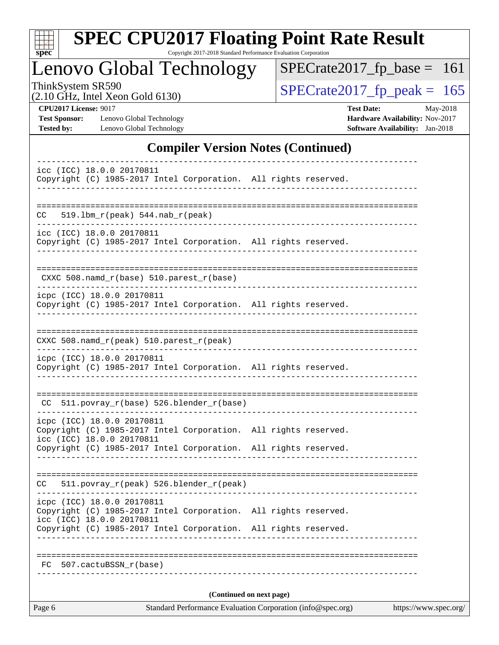| S<br>оe |  |  |  |  |  |  |
|---------|--|--|--|--|--|--|

Copyright 2017-2018 Standard Performance Evaluation Corporation

Lenovo Global Technology

ThinkSystem SR590<br>  $(2.10 \text{ GHz})$  Intel Xeon Gold 6130)

[SPECrate2017\\_fp\\_base =](http://www.spec.org/auto/cpu2017/Docs/result-fields.html#SPECrate2017fpbase) 161

(2.10 GHz, Intel Xeon Gold 6130)

**[Test Sponsor:](http://www.spec.org/auto/cpu2017/Docs/result-fields.html#TestSponsor)** Lenovo Global Technology **[Hardware Availability:](http://www.spec.org/auto/cpu2017/Docs/result-fields.html#HardwareAvailability)** Nov-2017 **[Tested by:](http://www.spec.org/auto/cpu2017/Docs/result-fields.html#Testedby)** Lenovo Global Technology **[Software Availability:](http://www.spec.org/auto/cpu2017/Docs/result-fields.html#SoftwareAvailability)** Jan-2018

**[CPU2017 License:](http://www.spec.org/auto/cpu2017/Docs/result-fields.html#CPU2017License)** 9017 **[Test Date:](http://www.spec.org/auto/cpu2017/Docs/result-fields.html#TestDate)** May-2018

### **[Compiler Version Notes \(Continued\)](http://www.spec.org/auto/cpu2017/Docs/result-fields.html#CompilerVersionNotes)**

| Page 6                                                                                                                     |                                    | Standard Performance Evaluation Corporation (info@spec.org) | https://www.spec.org/ |
|----------------------------------------------------------------------------------------------------------------------------|------------------------------------|-------------------------------------------------------------|-----------------------|
|                                                                                                                            |                                    | (Continued on next page)                                    |                       |
| 507.cactuBSSN_r(base)<br>FC                                                                                                |                                    |                                                             |                       |
|                                                                                                                            |                                    |                                                             |                       |
| icc (ICC) 18.0.0 20170811<br>Copyright (C) 1985-2017 Intel Corporation. All rights reserved.                               |                                    |                                                             |                       |
| icpc (ICC) 18.0.0 20170811<br>Copyright (C) 1985-2017 Intel Corporation. All rights reserved.                              |                                    |                                                             |                       |
| 511.povray_r(peak) 526.blender_r(peak)<br>CC                                                                               |                                    |                                                             |                       |
| Copyright (C) 1985-2017 Intel Corporation. All rights reserved.                                                            |                                    |                                                             |                       |
| icpc (ICC) 18.0.0 20170811<br>Copyright (C) 1985-2017 Intel Corporation. All rights reserved.<br>icc (ICC) 18.0.0 20170811 |                                    |                                                             |                       |
| CC 511.povray_r(base) 526.blender_r(base)                                                                                  |                                    |                                                             |                       |
| icpc (ICC) 18.0.0 20170811<br>Copyright (C) 1985-2017 Intel Corporation. All rights reserved.                              |                                    |                                                             |                       |
| CXXC 508.namd_r(peak) 510.parest_r(peak)                                                                                   |                                    |                                                             |                       |
|                                                                                                                            |                                    |                                                             |                       |
| icpc (ICC) 18.0.0 20170811<br>Copyright (C) 1985-2017 Intel Corporation. All rights reserved.                              |                                    |                                                             |                       |
| CXXC 508.namd_r(base) 510.parest_r(base)<br>--------------------                                                           |                                    |                                                             |                       |
| Copyright (C) 1985-2017 Intel Corporation. All rights reserved.                                                            |                                    |                                                             |                       |
| icc (ICC) 18.0.0 20170811                                                                                                  |                                    |                                                             |                       |
| $519.1$ bm_r(peak) $544.nab_r(peak)$<br>CC.                                                                                |                                    |                                                             |                       |
| Copyright (C) 1985-2017 Intel Corporation. All rights reserved.                                                            |                                    |                                                             |                       |
| icc (ICC) 18.0.0 20170811                                                                                                  | ---------------------------------- |                                                             |                       |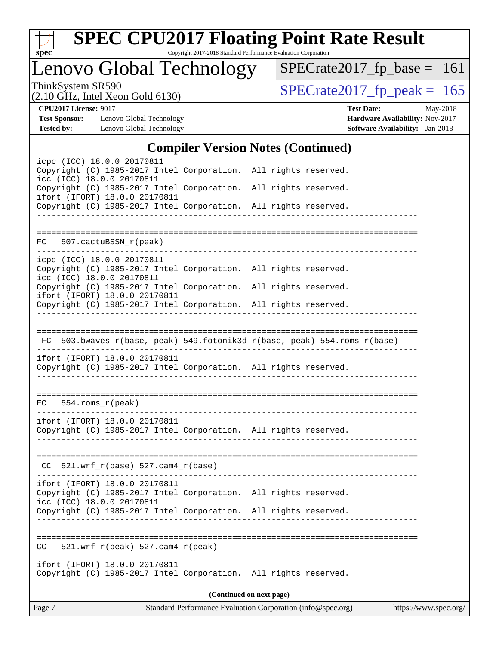

Copyright 2017-2018 Standard Performance Evaluation Corporation

Lenovo Global Technology

ThinkSystem SR590<br>  $(2.10 \text{ GHz})$  Intel Xeon Gold 6130) [SPECrate2017\\_fp\\_base =](http://www.spec.org/auto/cpu2017/Docs/result-fields.html#SPECrate2017fpbase) 161

(2.10 GHz, Intel Xeon Gold 6130)

**[CPU2017 License:](http://www.spec.org/auto/cpu2017/Docs/result-fields.html#CPU2017License)** 9017 **[Test Date:](http://www.spec.org/auto/cpu2017/Docs/result-fields.html#TestDate)** May-2018 **[Test Sponsor:](http://www.spec.org/auto/cpu2017/Docs/result-fields.html#TestSponsor)** Lenovo Global Technology **[Hardware Availability:](http://www.spec.org/auto/cpu2017/Docs/result-fields.html#HardwareAvailability)** Nov-2017 **[Tested by:](http://www.spec.org/auto/cpu2017/Docs/result-fields.html#Testedby)** Lenovo Global Technology **[Software Availability:](http://www.spec.org/auto/cpu2017/Docs/result-fields.html#SoftwareAvailability)** Jan-2018

### **[Compiler Version Notes \(Continued\)](http://www.spec.org/auto/cpu2017/Docs/result-fields.html#CompilerVersionNotes)**

| icpc (ICC) 18.0.0 20170811<br>Copyright (C) 1985-2017 Intel Corporation. All rights reserved.<br>icc (ICC) 18.0.0 20170811<br>Copyright (C) 1985-2017 Intel Corporation. All rights reserved.<br>ifort (IFORT) 18.0.0 20170811<br>Copyright (C) 1985-2017 Intel Corporation. All rights reserved. | $\sim$ 0.11 $\sim$ 1.01 $\sim$ 1.01 $\sim$ 1.01 $\sim$ 0.000 $\sim$ |                          |  |
|---------------------------------------------------------------------------------------------------------------------------------------------------------------------------------------------------------------------------------------------------------------------------------------------------|---------------------------------------------------------------------|--------------------------|--|
| FC 507.cactuBSSN_r(peak)                                                                                                                                                                                                                                                                          |                                                                     |                          |  |
| icpc (ICC) 18.0.0 20170811<br>Copyright (C) 1985-2017 Intel Corporation. All rights reserved.<br>icc (ICC) 18.0.0 20170811<br>Copyright (C) 1985-2017 Intel Corporation. All rights reserved.                                                                                                     |                                                                     |                          |  |
| ifort (IFORT) 18.0.0 20170811<br>Copyright (C) 1985-2017 Intel Corporation. All rights reserved.                                                                                                                                                                                                  |                                                                     |                          |  |
| FC 503.bwaves_r(base, peak) 549.fotonik3d_r(base, peak) 554.roms_r(base)<br>ifort (IFORT) 18.0.0 20170811<br>Copyright (C) 1985-2017 Intel Corporation. All rights reserved.                                                                                                                      |                                                                     |                          |  |
| $FC$ 554.roms $_r$ (peak)                                                                                                                                                                                                                                                                         |                                                                     |                          |  |
| ifort (IFORT) 18.0.0 20170811<br>Copyright (C) 1985-2017 Intel Corporation. All rights reserved.                                                                                                                                                                                                  | ____________________________________                                |                          |  |
| $CC$ 521.wrf_r(base) 527.cam4_r(base)                                                                                                                                                                                                                                                             |                                                                     |                          |  |
| ifort (IFORT) 18.0.0 20170811<br>Copyright (C) 1985-2017 Intel Corporation. All rights reserved.<br>icc (ICC) 18.0.0 20170811<br>Copyright (C) 1985-2017 Intel Corporation. All rights reserved.                                                                                                  |                                                                     |                          |  |
| $521.wrf_r(peak) 527.cam4_r(peak)$<br>CC.<br>----------------------------------                                                                                                                                                                                                                   |                                                                     |                          |  |
| ifort (IFORT) 18.0.0 20170811<br>Copyright (C) 1985-2017 Intel Corporation. All rights reserved.                                                                                                                                                                                                  |                                                                     |                          |  |
|                                                                                                                                                                                                                                                                                                   |                                                                     | (Continued on next page) |  |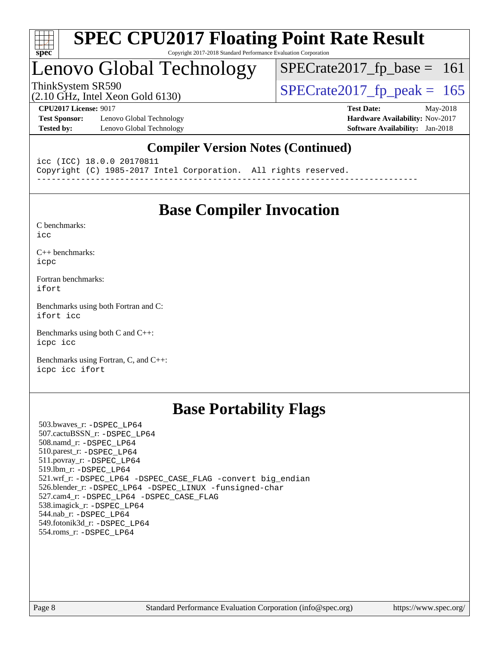

#### **[SPEC CPU2017 Floating Point Rate Result](http://www.spec.org/auto/cpu2017/Docs/result-fields.html#SPECCPU2017FloatingPointRateResult)** Copyright 2017-2018 Standard Performance Evaluation Corporation

# Lenovo Global Technology

ThinkSystem SR590<br>(2.10 GHz, Intel Xeon Gold 6130) [SPECrate2017\\_fp\\_peak =](http://www.spec.org/auto/cpu2017/Docs/result-fields.html#SPECrate2017fppeak)  $165$  $SPECTate2017_fp\_base = 161$ 

(2.10 GHz, Intel Xeon Gold 6130)

**[Test Sponsor:](http://www.spec.org/auto/cpu2017/Docs/result-fields.html#TestSponsor)** Lenovo Global Technology **[Hardware Availability:](http://www.spec.org/auto/cpu2017/Docs/result-fields.html#HardwareAvailability)** Nov-2017 **[Tested by:](http://www.spec.org/auto/cpu2017/Docs/result-fields.html#Testedby)** Lenovo Global Technology **[Software Availability:](http://www.spec.org/auto/cpu2017/Docs/result-fields.html#SoftwareAvailability)** Jan-2018

**[CPU2017 License:](http://www.spec.org/auto/cpu2017/Docs/result-fields.html#CPU2017License)** 9017 **[Test Date:](http://www.spec.org/auto/cpu2017/Docs/result-fields.html#TestDate)** May-2018

## **[Compiler Version Notes \(Continued\)](http://www.spec.org/auto/cpu2017/Docs/result-fields.html#CompilerVersionNotes)**

icc (ICC) 18.0.0 20170811 Copyright (C) 1985-2017 Intel Corporation. All rights reserved. ------------------------------------------------------------------------------

## **[Base Compiler Invocation](http://www.spec.org/auto/cpu2017/Docs/result-fields.html#BaseCompilerInvocation)**

[C benchmarks](http://www.spec.org/auto/cpu2017/Docs/result-fields.html#Cbenchmarks): [icc](http://www.spec.org/cpu2017/results/res2018q2/cpu2017-20180529-06148.flags.html#user_CCbase_intel_icc_18.0_66fc1ee009f7361af1fbd72ca7dcefbb700085f36577c54f309893dd4ec40d12360134090235512931783d35fd58c0460139e722d5067c5574d8eaf2b3e37e92)

[C++ benchmarks:](http://www.spec.org/auto/cpu2017/Docs/result-fields.html#CXXbenchmarks) [icpc](http://www.spec.org/cpu2017/results/res2018q2/cpu2017-20180529-06148.flags.html#user_CXXbase_intel_icpc_18.0_c510b6838c7f56d33e37e94d029a35b4a7bccf4766a728ee175e80a419847e808290a9b78be685c44ab727ea267ec2f070ec5dc83b407c0218cded6866a35d07)

[Fortran benchmarks](http://www.spec.org/auto/cpu2017/Docs/result-fields.html#Fortranbenchmarks): [ifort](http://www.spec.org/cpu2017/results/res2018q2/cpu2017-20180529-06148.flags.html#user_FCbase_intel_ifort_18.0_8111460550e3ca792625aed983ce982f94888b8b503583aa7ba2b8303487b4d8a21a13e7191a45c5fd58ff318f48f9492884d4413fa793fd88dd292cad7027ca)

[Benchmarks using both Fortran and C](http://www.spec.org/auto/cpu2017/Docs/result-fields.html#BenchmarksusingbothFortranandC): [ifort](http://www.spec.org/cpu2017/results/res2018q2/cpu2017-20180529-06148.flags.html#user_CC_FCbase_intel_ifort_18.0_8111460550e3ca792625aed983ce982f94888b8b503583aa7ba2b8303487b4d8a21a13e7191a45c5fd58ff318f48f9492884d4413fa793fd88dd292cad7027ca) [icc](http://www.spec.org/cpu2017/results/res2018q2/cpu2017-20180529-06148.flags.html#user_CC_FCbase_intel_icc_18.0_66fc1ee009f7361af1fbd72ca7dcefbb700085f36577c54f309893dd4ec40d12360134090235512931783d35fd58c0460139e722d5067c5574d8eaf2b3e37e92)

[Benchmarks using both C and C++](http://www.spec.org/auto/cpu2017/Docs/result-fields.html#BenchmarksusingbothCandCXX): [icpc](http://www.spec.org/cpu2017/results/res2018q2/cpu2017-20180529-06148.flags.html#user_CC_CXXbase_intel_icpc_18.0_c510b6838c7f56d33e37e94d029a35b4a7bccf4766a728ee175e80a419847e808290a9b78be685c44ab727ea267ec2f070ec5dc83b407c0218cded6866a35d07) [icc](http://www.spec.org/cpu2017/results/res2018q2/cpu2017-20180529-06148.flags.html#user_CC_CXXbase_intel_icc_18.0_66fc1ee009f7361af1fbd72ca7dcefbb700085f36577c54f309893dd4ec40d12360134090235512931783d35fd58c0460139e722d5067c5574d8eaf2b3e37e92)

[Benchmarks using Fortran, C, and C++:](http://www.spec.org/auto/cpu2017/Docs/result-fields.html#BenchmarksusingFortranCandCXX) [icpc](http://www.spec.org/cpu2017/results/res2018q2/cpu2017-20180529-06148.flags.html#user_CC_CXX_FCbase_intel_icpc_18.0_c510b6838c7f56d33e37e94d029a35b4a7bccf4766a728ee175e80a419847e808290a9b78be685c44ab727ea267ec2f070ec5dc83b407c0218cded6866a35d07) [icc](http://www.spec.org/cpu2017/results/res2018q2/cpu2017-20180529-06148.flags.html#user_CC_CXX_FCbase_intel_icc_18.0_66fc1ee009f7361af1fbd72ca7dcefbb700085f36577c54f309893dd4ec40d12360134090235512931783d35fd58c0460139e722d5067c5574d8eaf2b3e37e92) [ifort](http://www.spec.org/cpu2017/results/res2018q2/cpu2017-20180529-06148.flags.html#user_CC_CXX_FCbase_intel_ifort_18.0_8111460550e3ca792625aed983ce982f94888b8b503583aa7ba2b8303487b4d8a21a13e7191a45c5fd58ff318f48f9492884d4413fa793fd88dd292cad7027ca)

## **[Base Portability Flags](http://www.spec.org/auto/cpu2017/Docs/result-fields.html#BasePortabilityFlags)**

 503.bwaves\_r: [-DSPEC\\_LP64](http://www.spec.org/cpu2017/results/res2018q2/cpu2017-20180529-06148.flags.html#suite_basePORTABILITY503_bwaves_r_DSPEC_LP64) 507.cactuBSSN\_r: [-DSPEC\\_LP64](http://www.spec.org/cpu2017/results/res2018q2/cpu2017-20180529-06148.flags.html#suite_basePORTABILITY507_cactuBSSN_r_DSPEC_LP64) 508.namd\_r: [-DSPEC\\_LP64](http://www.spec.org/cpu2017/results/res2018q2/cpu2017-20180529-06148.flags.html#suite_basePORTABILITY508_namd_r_DSPEC_LP64) 510.parest\_r: [-DSPEC\\_LP64](http://www.spec.org/cpu2017/results/res2018q2/cpu2017-20180529-06148.flags.html#suite_basePORTABILITY510_parest_r_DSPEC_LP64) 511.povray\_r: [-DSPEC\\_LP64](http://www.spec.org/cpu2017/results/res2018q2/cpu2017-20180529-06148.flags.html#suite_basePORTABILITY511_povray_r_DSPEC_LP64) 519.lbm\_r: [-DSPEC\\_LP64](http://www.spec.org/cpu2017/results/res2018q2/cpu2017-20180529-06148.flags.html#suite_basePORTABILITY519_lbm_r_DSPEC_LP64) 521.wrf\_r: [-DSPEC\\_LP64](http://www.spec.org/cpu2017/results/res2018q2/cpu2017-20180529-06148.flags.html#suite_basePORTABILITY521_wrf_r_DSPEC_LP64) [-DSPEC\\_CASE\\_FLAG](http://www.spec.org/cpu2017/results/res2018q2/cpu2017-20180529-06148.flags.html#b521.wrf_r_baseCPORTABILITY_DSPEC_CASE_FLAG) [-convert big\\_endian](http://www.spec.org/cpu2017/results/res2018q2/cpu2017-20180529-06148.flags.html#user_baseFPORTABILITY521_wrf_r_convert_big_endian_c3194028bc08c63ac5d04de18c48ce6d347e4e562e8892b8bdbdc0214820426deb8554edfa529a3fb25a586e65a3d812c835984020483e7e73212c4d31a38223) 526.blender\_r: [-DSPEC\\_LP64](http://www.spec.org/cpu2017/results/res2018q2/cpu2017-20180529-06148.flags.html#suite_basePORTABILITY526_blender_r_DSPEC_LP64) [-DSPEC\\_LINUX](http://www.spec.org/cpu2017/results/res2018q2/cpu2017-20180529-06148.flags.html#b526.blender_r_baseCPORTABILITY_DSPEC_LINUX) [-funsigned-char](http://www.spec.org/cpu2017/results/res2018q2/cpu2017-20180529-06148.flags.html#user_baseCPORTABILITY526_blender_r_force_uchar_40c60f00ab013830e2dd6774aeded3ff59883ba5a1fc5fc14077f794d777847726e2a5858cbc7672e36e1b067e7e5c1d9a74f7176df07886a243d7cc18edfe67) 527.cam4\_r: [-DSPEC\\_LP64](http://www.spec.org/cpu2017/results/res2018q2/cpu2017-20180529-06148.flags.html#suite_basePORTABILITY527_cam4_r_DSPEC_LP64) [-DSPEC\\_CASE\\_FLAG](http://www.spec.org/cpu2017/results/res2018q2/cpu2017-20180529-06148.flags.html#b527.cam4_r_baseCPORTABILITY_DSPEC_CASE_FLAG) 538.imagick\_r: [-DSPEC\\_LP64](http://www.spec.org/cpu2017/results/res2018q2/cpu2017-20180529-06148.flags.html#suite_basePORTABILITY538_imagick_r_DSPEC_LP64) 544.nab\_r: [-DSPEC\\_LP64](http://www.spec.org/cpu2017/results/res2018q2/cpu2017-20180529-06148.flags.html#suite_basePORTABILITY544_nab_r_DSPEC_LP64) 549.fotonik3d\_r: [-DSPEC\\_LP64](http://www.spec.org/cpu2017/results/res2018q2/cpu2017-20180529-06148.flags.html#suite_basePORTABILITY549_fotonik3d_r_DSPEC_LP64) 554.roms\_r: [-DSPEC\\_LP64](http://www.spec.org/cpu2017/results/res2018q2/cpu2017-20180529-06148.flags.html#suite_basePORTABILITY554_roms_r_DSPEC_LP64)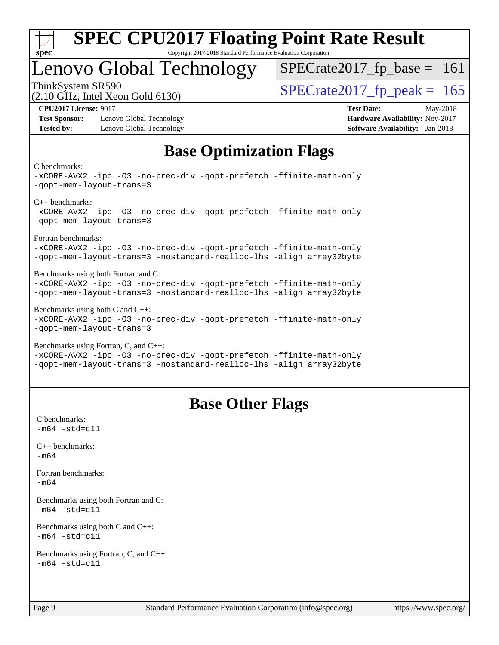

#### **[SPEC CPU2017 Floating Point Rate Result](http://www.spec.org/auto/cpu2017/Docs/result-fields.html#SPECCPU2017FloatingPointRateResult)** Copyright 2017-2018 Standard Performance Evaluation Corporation

## Lenovo Global Technology

ThinkSystem SR590<br>  $\frac{10.047 \text{ J} \cdot \text{m/s}}{2.10 \text{ GHz}}$  [SPECrate2017\\_fp\\_peak =](http://www.spec.org/auto/cpu2017/Docs/result-fields.html#SPECrate2017fppeak) 165  $SPECTate2017_fp\_base = 161$ 

(2.10 GHz, Intel Xeon Gold 6130)

**[Test Sponsor:](http://www.spec.org/auto/cpu2017/Docs/result-fields.html#TestSponsor)** Lenovo Global Technology **[Hardware Availability:](http://www.spec.org/auto/cpu2017/Docs/result-fields.html#HardwareAvailability)** Nov-2017 **[Tested by:](http://www.spec.org/auto/cpu2017/Docs/result-fields.html#Testedby)** Lenovo Global Technology **[Software Availability:](http://www.spec.org/auto/cpu2017/Docs/result-fields.html#SoftwareAvailability)** Jan-2018

**[CPU2017 License:](http://www.spec.org/auto/cpu2017/Docs/result-fields.html#CPU2017License)** 9017 **[Test Date:](http://www.spec.org/auto/cpu2017/Docs/result-fields.html#TestDate)** May-2018

## **[Base Optimization Flags](http://www.spec.org/auto/cpu2017/Docs/result-fields.html#BaseOptimizationFlags)**

#### [C benchmarks](http://www.spec.org/auto/cpu2017/Docs/result-fields.html#Cbenchmarks):

```
-xCORE-AVX2 -ipo -O3 -no-prec-div -qopt-prefetch -ffinite-math-only
-qopt-mem-layout-trans=3
C++ benchmarks: 
-xCORE-AVX2 -ipo -O3 -no-prec-div -qopt-prefetch -ffinite-math-only
-qopt-mem-layout-trans=3
Fortran benchmarks: 
-xCORE-AVX2 -ipo -O3 -no-prec-div -qopt-prefetch -ffinite-math-only
-qopt-mem-layout-trans=3 -nostandard-realloc-lhs -align array32byte
Benchmarks using both Fortran and C: 
-xCORE-AVX2 -ipo -O3 -no-prec-div -qopt-prefetch -ffinite-math-only
-qopt-mem-layout-trans=3 -nostandard-realloc-lhs -align array32byte
Benchmarks using both C and C++: 
-xCORE-AVX2 -ipo -O3 -no-prec-div -qopt-prefetch -ffinite-math-only
-qopt-mem-layout-trans=3
Benchmarks using Fortran, C, and C++: 
-xCORE-AVX2 -ipo -O3 -no-prec-div -qopt-prefetch -ffinite-math-only
```
#### [-qopt-mem-layout-trans=3](http://www.spec.org/cpu2017/results/res2018q2/cpu2017-20180529-06148.flags.html#user_CC_CXX_FCbase_f-qopt-mem-layout-trans_de80db37974c74b1f0e20d883f0b675c88c3b01e9d123adea9b28688d64333345fb62bc4a798493513fdb68f60282f9a726aa07f478b2f7113531aecce732043) [-nostandard-realloc-lhs](http://www.spec.org/cpu2017/results/res2018q2/cpu2017-20180529-06148.flags.html#user_CC_CXX_FCbase_f_2003_std_realloc_82b4557e90729c0f113870c07e44d33d6f5a304b4f63d4c15d2d0f1fab99f5daaed73bdb9275d9ae411527f28b936061aa8b9c8f2d63842963b95c9dd6426b8a) [-align array32byte](http://www.spec.org/cpu2017/results/res2018q2/cpu2017-20180529-06148.flags.html#user_CC_CXX_FCbase_align_array32byte_b982fe038af199962ba9a80c053b8342c548c85b40b8e86eb3cc33dee0d7986a4af373ac2d51c3f7cf710a18d62fdce2948f201cd044323541f22fc0fffc51b6)

## **[Base Other Flags](http://www.spec.org/auto/cpu2017/Docs/result-fields.html#BaseOtherFlags)**

[C benchmarks](http://www.spec.org/auto/cpu2017/Docs/result-fields.html#Cbenchmarks):  $-m64 - std = c11$  $-m64 - std = c11$ [C++ benchmarks:](http://www.spec.org/auto/cpu2017/Docs/result-fields.html#CXXbenchmarks) [-m64](http://www.spec.org/cpu2017/results/res2018q2/cpu2017-20180529-06148.flags.html#user_CXXbase_intel_intel64_18.0_af43caccfc8ded86e7699f2159af6efc7655f51387b94da716254467f3c01020a5059329e2569e4053f409e7c9202a7efc638f7a6d1ffb3f52dea4a3e31d82ab) [Fortran benchmarks](http://www.spec.org/auto/cpu2017/Docs/result-fields.html#Fortranbenchmarks): [-m64](http://www.spec.org/cpu2017/results/res2018q2/cpu2017-20180529-06148.flags.html#user_FCbase_intel_intel64_18.0_af43caccfc8ded86e7699f2159af6efc7655f51387b94da716254467f3c01020a5059329e2569e4053f409e7c9202a7efc638f7a6d1ffb3f52dea4a3e31d82ab) [Benchmarks using both Fortran and C](http://www.spec.org/auto/cpu2017/Docs/result-fields.html#BenchmarksusingbothFortranandC):  $-m64$   $-std=cl1$ [Benchmarks using both C and C++](http://www.spec.org/auto/cpu2017/Docs/result-fields.html#BenchmarksusingbothCandCXX):  $-m64 - std= c11$  $-m64 - std= c11$ [Benchmarks using Fortran, C, and C++:](http://www.spec.org/auto/cpu2017/Docs/result-fields.html#BenchmarksusingFortranCandCXX)  $-m64 - std = c11$  $-m64 - std = c11$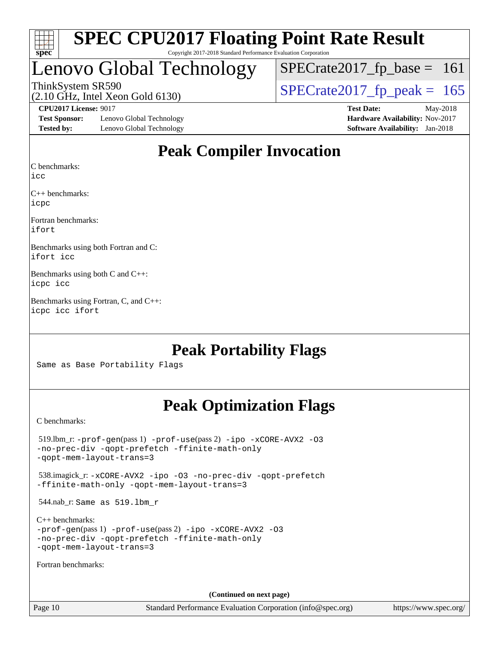

Copyright 2017-2018 Standard Performance Evaluation Corporation

## Lenovo Global Technology

ThinkSystem SR590<br>(2.10 GHz, Intel Xeon Gold 6130) [SPECrate2017\\_fp\\_peak =](http://www.spec.org/auto/cpu2017/Docs/result-fields.html#SPECrate2017fppeak)  $165$  $SPECTate2017_fp\_base = 161$ 

(2.10 GHz, Intel Xeon Gold 6130)

**[Test Sponsor:](http://www.spec.org/auto/cpu2017/Docs/result-fields.html#TestSponsor)** Lenovo Global Technology **[Hardware Availability:](http://www.spec.org/auto/cpu2017/Docs/result-fields.html#HardwareAvailability)** Nov-2017 **[Tested by:](http://www.spec.org/auto/cpu2017/Docs/result-fields.html#Testedby)** Lenovo Global Technology **[Software Availability:](http://www.spec.org/auto/cpu2017/Docs/result-fields.html#SoftwareAvailability)** Jan-2018

**[CPU2017 License:](http://www.spec.org/auto/cpu2017/Docs/result-fields.html#CPU2017License)** 9017 **[Test Date:](http://www.spec.org/auto/cpu2017/Docs/result-fields.html#TestDate)** May-2018

## **[Peak Compiler Invocation](http://www.spec.org/auto/cpu2017/Docs/result-fields.html#PeakCompilerInvocation)**

[C benchmarks](http://www.spec.org/auto/cpu2017/Docs/result-fields.html#Cbenchmarks):

[icc](http://www.spec.org/cpu2017/results/res2018q2/cpu2017-20180529-06148.flags.html#user_CCpeak_intel_icc_18.0_66fc1ee009f7361af1fbd72ca7dcefbb700085f36577c54f309893dd4ec40d12360134090235512931783d35fd58c0460139e722d5067c5574d8eaf2b3e37e92)

[C++ benchmarks:](http://www.spec.org/auto/cpu2017/Docs/result-fields.html#CXXbenchmarks) [icpc](http://www.spec.org/cpu2017/results/res2018q2/cpu2017-20180529-06148.flags.html#user_CXXpeak_intel_icpc_18.0_c510b6838c7f56d33e37e94d029a35b4a7bccf4766a728ee175e80a419847e808290a9b78be685c44ab727ea267ec2f070ec5dc83b407c0218cded6866a35d07)

[Fortran benchmarks](http://www.spec.org/auto/cpu2017/Docs/result-fields.html#Fortranbenchmarks): [ifort](http://www.spec.org/cpu2017/results/res2018q2/cpu2017-20180529-06148.flags.html#user_FCpeak_intel_ifort_18.0_8111460550e3ca792625aed983ce982f94888b8b503583aa7ba2b8303487b4d8a21a13e7191a45c5fd58ff318f48f9492884d4413fa793fd88dd292cad7027ca)

[Benchmarks using both Fortran and C](http://www.spec.org/auto/cpu2017/Docs/result-fields.html#BenchmarksusingbothFortranandC): [ifort](http://www.spec.org/cpu2017/results/res2018q2/cpu2017-20180529-06148.flags.html#user_CC_FCpeak_intel_ifort_18.0_8111460550e3ca792625aed983ce982f94888b8b503583aa7ba2b8303487b4d8a21a13e7191a45c5fd58ff318f48f9492884d4413fa793fd88dd292cad7027ca) [icc](http://www.spec.org/cpu2017/results/res2018q2/cpu2017-20180529-06148.flags.html#user_CC_FCpeak_intel_icc_18.0_66fc1ee009f7361af1fbd72ca7dcefbb700085f36577c54f309893dd4ec40d12360134090235512931783d35fd58c0460139e722d5067c5574d8eaf2b3e37e92)

[Benchmarks using both C and C++:](http://www.spec.org/auto/cpu2017/Docs/result-fields.html#BenchmarksusingbothCandCXX) [icpc](http://www.spec.org/cpu2017/results/res2018q2/cpu2017-20180529-06148.flags.html#user_CC_CXXpeak_intel_icpc_18.0_c510b6838c7f56d33e37e94d029a35b4a7bccf4766a728ee175e80a419847e808290a9b78be685c44ab727ea267ec2f070ec5dc83b407c0218cded6866a35d07) [icc](http://www.spec.org/cpu2017/results/res2018q2/cpu2017-20180529-06148.flags.html#user_CC_CXXpeak_intel_icc_18.0_66fc1ee009f7361af1fbd72ca7dcefbb700085f36577c54f309893dd4ec40d12360134090235512931783d35fd58c0460139e722d5067c5574d8eaf2b3e37e92)

[Benchmarks using Fortran, C, and C++](http://www.spec.org/auto/cpu2017/Docs/result-fields.html#BenchmarksusingFortranCandCXX): [icpc](http://www.spec.org/cpu2017/results/res2018q2/cpu2017-20180529-06148.flags.html#user_CC_CXX_FCpeak_intel_icpc_18.0_c510b6838c7f56d33e37e94d029a35b4a7bccf4766a728ee175e80a419847e808290a9b78be685c44ab727ea267ec2f070ec5dc83b407c0218cded6866a35d07) [icc](http://www.spec.org/cpu2017/results/res2018q2/cpu2017-20180529-06148.flags.html#user_CC_CXX_FCpeak_intel_icc_18.0_66fc1ee009f7361af1fbd72ca7dcefbb700085f36577c54f309893dd4ec40d12360134090235512931783d35fd58c0460139e722d5067c5574d8eaf2b3e37e92) [ifort](http://www.spec.org/cpu2017/results/res2018q2/cpu2017-20180529-06148.flags.html#user_CC_CXX_FCpeak_intel_ifort_18.0_8111460550e3ca792625aed983ce982f94888b8b503583aa7ba2b8303487b4d8a21a13e7191a45c5fd58ff318f48f9492884d4413fa793fd88dd292cad7027ca)

## **[Peak Portability Flags](http://www.spec.org/auto/cpu2017/Docs/result-fields.html#PeakPortabilityFlags)**

Same as Base Portability Flags

## **[Peak Optimization Flags](http://www.spec.org/auto/cpu2017/Docs/result-fields.html#PeakOptimizationFlags)**

[C benchmarks](http://www.spec.org/auto/cpu2017/Docs/result-fields.html#Cbenchmarks):

 519.lbm\_r: [-prof-gen](http://www.spec.org/cpu2017/results/res2018q2/cpu2017-20180529-06148.flags.html#user_peakPASS1_CFLAGSPASS1_LDFLAGS519_lbm_r_prof_gen_5aa4926d6013ddb2a31985c654b3eb18169fc0c6952a63635c234f711e6e63dd76e94ad52365559451ec499a2cdb89e4dc58ba4c67ef54ca681ffbe1461d6b36)(pass 1) [-prof-use](http://www.spec.org/cpu2017/results/res2018q2/cpu2017-20180529-06148.flags.html#user_peakPASS2_CFLAGSPASS2_LDFLAGS519_lbm_r_prof_use_1a21ceae95f36a2b53c25747139a6c16ca95bd9def2a207b4f0849963b97e94f5260e30a0c64f4bb623698870e679ca08317ef8150905d41bd88c6f78df73f19)(pass 2) [-ipo](http://www.spec.org/cpu2017/results/res2018q2/cpu2017-20180529-06148.flags.html#user_peakPASS1_COPTIMIZEPASS2_COPTIMIZE519_lbm_r_f-ipo) [-xCORE-AVX2](http://www.spec.org/cpu2017/results/res2018q2/cpu2017-20180529-06148.flags.html#user_peakPASS2_COPTIMIZE519_lbm_r_f-xCORE-AVX2) [-O3](http://www.spec.org/cpu2017/results/res2018q2/cpu2017-20180529-06148.flags.html#user_peakPASS1_COPTIMIZEPASS2_COPTIMIZE519_lbm_r_f-O3) [-no-prec-div](http://www.spec.org/cpu2017/results/res2018q2/cpu2017-20180529-06148.flags.html#user_peakPASS1_COPTIMIZEPASS2_COPTIMIZE519_lbm_r_f-no-prec-div) [-qopt-prefetch](http://www.spec.org/cpu2017/results/res2018q2/cpu2017-20180529-06148.flags.html#user_peakPASS1_COPTIMIZEPASS2_COPTIMIZE519_lbm_r_f-qopt-prefetch) [-ffinite-math-only](http://www.spec.org/cpu2017/results/res2018q2/cpu2017-20180529-06148.flags.html#user_peakPASS1_COPTIMIZEPASS2_COPTIMIZE519_lbm_r_f_finite_math_only_cb91587bd2077682c4b38af759c288ed7c732db004271a9512da14a4f8007909a5f1427ecbf1a0fb78ff2a814402c6114ac565ca162485bbcae155b5e4258871) [-qopt-mem-layout-trans=3](http://www.spec.org/cpu2017/results/res2018q2/cpu2017-20180529-06148.flags.html#user_peakPASS1_COPTIMIZEPASS2_COPTIMIZE519_lbm_r_f-qopt-mem-layout-trans_de80db37974c74b1f0e20d883f0b675c88c3b01e9d123adea9b28688d64333345fb62bc4a798493513fdb68f60282f9a726aa07f478b2f7113531aecce732043) 538.imagick\_r: [-xCORE-AVX2](http://www.spec.org/cpu2017/results/res2018q2/cpu2017-20180529-06148.flags.html#user_peakCOPTIMIZE538_imagick_r_f-xCORE-AVX2) [-ipo](http://www.spec.org/cpu2017/results/res2018q2/cpu2017-20180529-06148.flags.html#user_peakCOPTIMIZE538_imagick_r_f-ipo) [-O3](http://www.spec.org/cpu2017/results/res2018q2/cpu2017-20180529-06148.flags.html#user_peakCOPTIMIZE538_imagick_r_f-O3) [-no-prec-div](http://www.spec.org/cpu2017/results/res2018q2/cpu2017-20180529-06148.flags.html#user_peakCOPTIMIZE538_imagick_r_f-no-prec-div) [-qopt-prefetch](http://www.spec.org/cpu2017/results/res2018q2/cpu2017-20180529-06148.flags.html#user_peakCOPTIMIZE538_imagick_r_f-qopt-prefetch) [-ffinite-math-only](http://www.spec.org/cpu2017/results/res2018q2/cpu2017-20180529-06148.flags.html#user_peakCOPTIMIZE538_imagick_r_f_finite_math_only_cb91587bd2077682c4b38af759c288ed7c732db004271a9512da14a4f8007909a5f1427ecbf1a0fb78ff2a814402c6114ac565ca162485bbcae155b5e4258871) [-qopt-mem-layout-trans=3](http://www.spec.org/cpu2017/results/res2018q2/cpu2017-20180529-06148.flags.html#user_peakCOPTIMIZE538_imagick_r_f-qopt-mem-layout-trans_de80db37974c74b1f0e20d883f0b675c88c3b01e9d123adea9b28688d64333345fb62bc4a798493513fdb68f60282f9a726aa07f478b2f7113531aecce732043) 544.nab\_r: Same as 519.lbm\_r [C++ benchmarks:](http://www.spec.org/auto/cpu2017/Docs/result-fields.html#CXXbenchmarks) [-prof-gen](http://www.spec.org/cpu2017/results/res2018q2/cpu2017-20180529-06148.flags.html#user_CXXpeak_prof_gen_5aa4926d6013ddb2a31985c654b3eb18169fc0c6952a63635c234f711e6e63dd76e94ad52365559451ec499a2cdb89e4dc58ba4c67ef54ca681ffbe1461d6b36)(pass 1) [-prof-use](http://www.spec.org/cpu2017/results/res2018q2/cpu2017-20180529-06148.flags.html#user_CXXpeak_prof_use_1a21ceae95f36a2b53c25747139a6c16ca95bd9def2a207b4f0849963b97e94f5260e30a0c64f4bb623698870e679ca08317ef8150905d41bd88c6f78df73f19)(pass 2) [-ipo](http://www.spec.org/cpu2017/results/res2018q2/cpu2017-20180529-06148.flags.html#user_CXXpeak_f-ipo) [-xCORE-AVX2](http://www.spec.org/cpu2017/results/res2018q2/cpu2017-20180529-06148.flags.html#user_CXXpeak_f-xCORE-AVX2) [-O3](http://www.spec.org/cpu2017/results/res2018q2/cpu2017-20180529-06148.flags.html#user_CXXpeak_f-O3) [-no-prec-div](http://www.spec.org/cpu2017/results/res2018q2/cpu2017-20180529-06148.flags.html#user_CXXpeak_f-no-prec-div) [-qopt-prefetch](http://www.spec.org/cpu2017/results/res2018q2/cpu2017-20180529-06148.flags.html#user_CXXpeak_f-qopt-prefetch) [-ffinite-math-only](http://www.spec.org/cpu2017/results/res2018q2/cpu2017-20180529-06148.flags.html#user_CXXpeak_f_finite_math_only_cb91587bd2077682c4b38af759c288ed7c732db004271a9512da14a4f8007909a5f1427ecbf1a0fb78ff2a814402c6114ac565ca162485bbcae155b5e4258871) [-qopt-mem-layout-trans=3](http://www.spec.org/cpu2017/results/res2018q2/cpu2017-20180529-06148.flags.html#user_CXXpeak_f-qopt-mem-layout-trans_de80db37974c74b1f0e20d883f0b675c88c3b01e9d123adea9b28688d64333345fb62bc4a798493513fdb68f60282f9a726aa07f478b2f7113531aecce732043) [Fortran benchmarks](http://www.spec.org/auto/cpu2017/Docs/result-fields.html#Fortranbenchmarks): **(Continued on next page)**

Page 10 Standard Performance Evaluation Corporation [\(info@spec.org\)](mailto:info@spec.org) <https://www.spec.org/>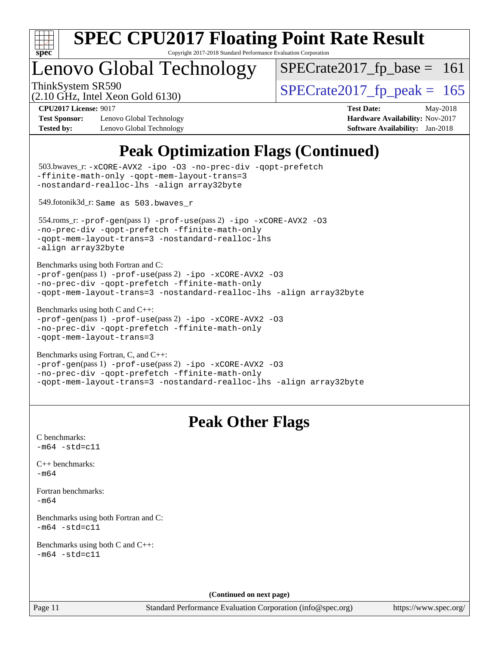

Copyright 2017-2018 Standard Performance Evaluation Corporation

## enovo Global Technology

ThinkSystem SR590<br>  $\frac{10.047 \text{ J} \cdot \text{m/s}}{2.10 \text{ GHz}}$  [SPECrate2017\\_fp\\_peak =](http://www.spec.org/auto/cpu2017/Docs/result-fields.html#SPECrate2017fppeak) 165  $SPECTate2017_fp\_base = 161$ 

(2.10 GHz, Intel Xeon Gold 6130)

**[Test Sponsor:](http://www.spec.org/auto/cpu2017/Docs/result-fields.html#TestSponsor)** Lenovo Global Technology **[Hardware Availability:](http://www.spec.org/auto/cpu2017/Docs/result-fields.html#HardwareAvailability)** Nov-2017 **[Tested by:](http://www.spec.org/auto/cpu2017/Docs/result-fields.html#Testedby)** Lenovo Global Technology **[Software Availability:](http://www.spec.org/auto/cpu2017/Docs/result-fields.html#SoftwareAvailability)** Jan-2018

**[CPU2017 License:](http://www.spec.org/auto/cpu2017/Docs/result-fields.html#CPU2017License)** 9017 **[Test Date:](http://www.spec.org/auto/cpu2017/Docs/result-fields.html#TestDate)** May-2018

## **[Peak Optimization Flags \(Continued\)](http://www.spec.org/auto/cpu2017/Docs/result-fields.html#PeakOptimizationFlags)**

```
(info@spec.org)https://www.spec.org/
  503.bwaves_r: -xCORE-AVX2 -ipo -O3 -no-prec-div -qopt-prefetch
-ffinite-math-only -qopt-mem-layout-trans=3
-nostandard-realloc-lhs -align array32byte
  549.fotonik3d_r: Same as 503.bwaves_r
  554.roms_r: -prof-gen(pass 1) -prof-use(pass 2) -ipo -xCORE-AVX2 -O3
-no-prec-div -qopt-prefetch -ffinite-math-only
-qopt-mem-layout-trans=3 -nostandard-realloc-lhs
-align array32byte
Benchmarks using both Fortran and C: 
-prof-gen(pass 1) -prof-use(pass 2) -ipo -xCORE-AVX2 -O3
-no-prec-div -qopt-prefetch -ffinite-math-only
-qopt-mem-layout-trans=3 -nostandard-realloc-lhs -align array32byte
Benchmarks using both C and C++: 
-prof-gen(pass 1) -prof-use(pass 2) -ipo -xCORE-AVX2 -O3
-no-prec-div -qopt-prefetch -ffinite-math-only
-qopt-mem-layout-trans=3
Benchmarks using Fortran, C, and C++: 
-prof-gen(pass 1) -prof-use(pass 2) -ipo -xCORE-AVX2 -O3
-no-prec-div -qopt-prefetch -ffinite-math-only
-qopt-mem-layout-trans=3 -nostandard-realloc-lhs -align array32byte
                                 Peak Other Flags
C benchmarks: 
-m64 - std= c11C++ benchmarks: 
-m64Fortran benchmarks: 
-m64
Benchmarks using both Fortran and C: 
-m64 - std= c11Benchmarks using both C and C++: 
-m64 - std= c11(Continued on next page)
```